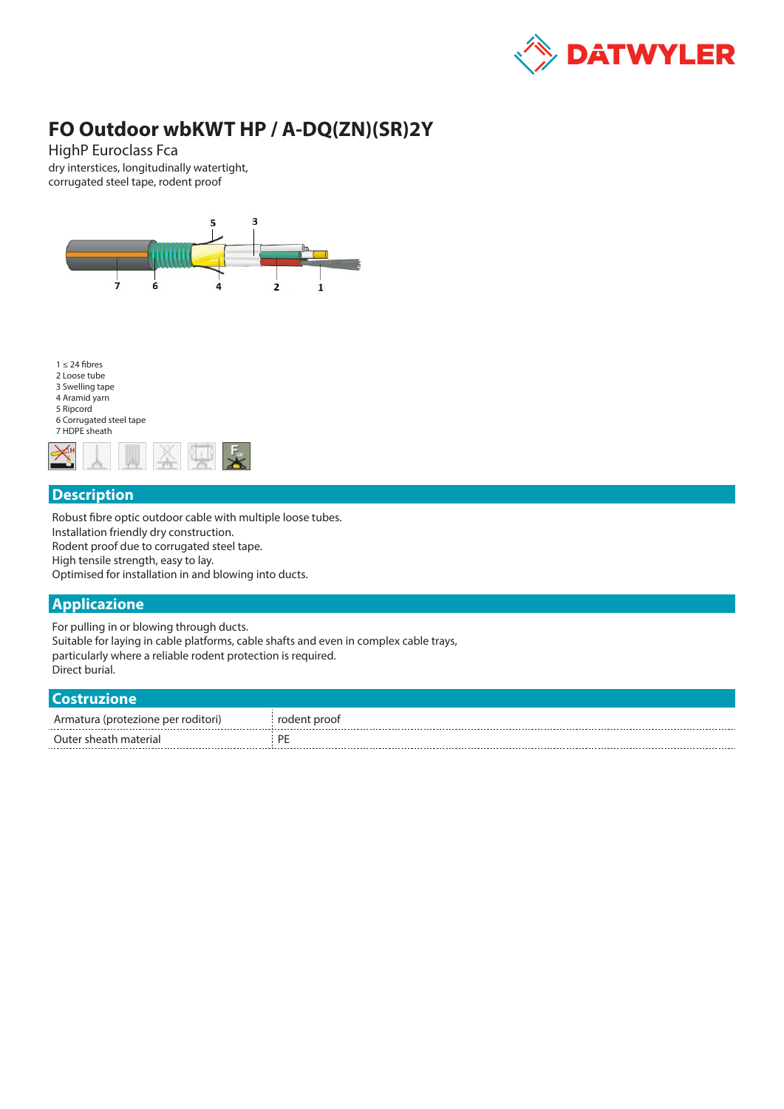

# **FO Outdoor wbKWT HP / A-DQ(ZN)(SR)2Y**

HighP Euroclass Fca dry interstices, longitudinally watertight, corrugated steel tape, rodent proof



## **Description**

Robust fibre optic outdoor cable with multiple loose tubes. Installation friendly dry construction. Rodent proof due to corrugated steel tape. High tensile strength, easy to lay. Optimised for installation in and blowing into ducts.

## **Applicazione**

For pulling in or blowing through ducts. Suitable for laying in cable platforms, cable shafts and even in complex cable trays, particularly where a reliable rodent protection is required. Direct burial.

#### **Costruzione**

| .                                  |              |
|------------------------------------|--------------|
| Armatura (protezione per roditori) | rodent proof |
| Outer sheath material<br>          | DE           |
|                                    |              |